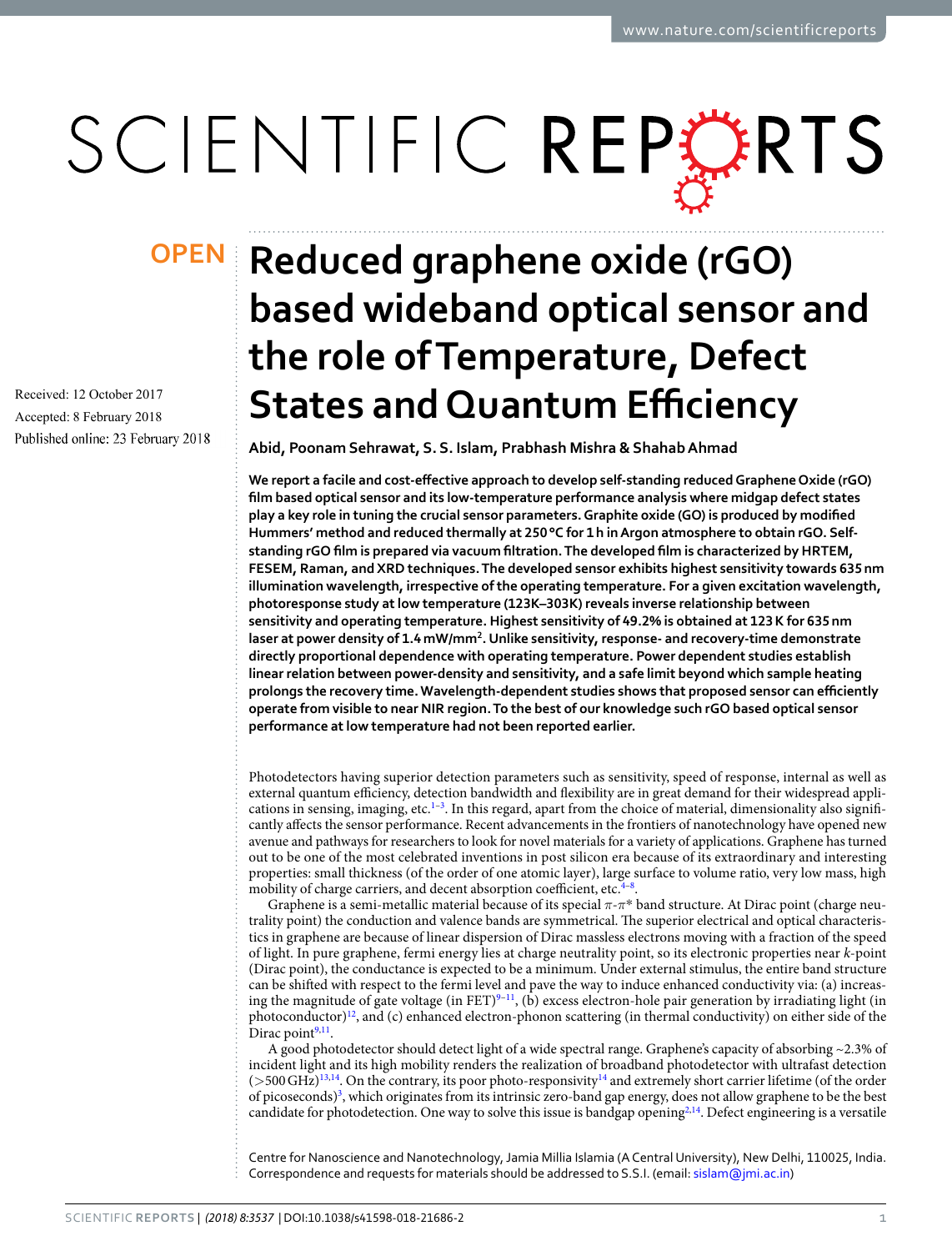# SCIENTIFIC REPERTS

Received: 12 October 2017 Accepted: 8 February 2018 Published online: 23 February 2018

## **Reduced graphene oxide (rGO) OPENbased wideband optical sensor and the role of Temperature, Defect States and Quantum Efficiency**

**Abid, Poonam Sehrawat, S. S. Islam, Prabhash Mishra & Shahab Ahmad**

**We report a facile and cost-effective approach to develop self-standing reduced Graphene Oxide (rGO) film based optical sensor and its low-temperature performance analysis where midgap defect states play a key role in tuning the crucial sensor parameters. Graphite oxide (GO) is produced by modified Hummers' method and reduced thermally at 250 °C for 1 h in Argon atmosphere to obtain rGO. Selfstanding rGO film is prepared via vacuum filtration. The developed film is characterized by HRTEM, FESEM, Raman, and XRD techniques. The developed sensor exhibits highest sensitivity towards 635 nm illumination wavelength, irrespective of the operating temperature. For a given excitation wavelength, photoresponse study at low temperature (123K–303K) reveals inverse relationship between sensitivity and operating temperature. Highest sensitivity of 49.2% is obtained at 123 K for 635 nm laser at power density of 1.4 mW/mm<sup>2</sup> . Unlike sensitivity, response- and recovery-time demonstrate directly proportional dependence with operating temperature. Power dependent studies establish linear relation between power-density and sensitivity, and a safe limit beyond which sample heating prolongs the recovery time. Wavelength-dependent studies shows that proposed sensor can efficiently operate from visible to near NIR region. To the best of our knowledge such rGO based optical sensor performance at low temperature had not been reported earlier.**

Photodetectors having superior detection parameters such as sensitivity, speed of response, internal as well as external quantum efficiency, detection bandwidth and flexibility are in great demand for their widespread appli-cations in sensing, imaging, etc.<sup>[1](#page-10-0)-[3](#page-10-1)</sup>. In this regard, apart from the choice of material, dimensionality also significantly affects the sensor performance. Recent advancements in the frontiers of nanotechnology have opened new avenue and pathways for researchers to look for novel materials for a variety of applications. Graphene has turned out to be one of the most celebrated inventions in post silicon era because of its extraordinary and interesting properties: small thickness (of the order of one atomic layer), large surface to volume ratio, very low mass, high mobility of charge carriers, and decent absorption coefficient, etc.<sup>[4](#page-10-2)-8</sup>.

Graphene is a semi-metallic material because of its special *π*-*π*\* band structure. At Dirac point (charge neutrality point) the conduction and valence bands are symmetrical. The superior electrical and optical characteristics in graphene are because of linear dispersion of Dirac massless electrons moving with a fraction of the speed of light. In pure graphene, fermi energy lies at charge neutrality point, so its electronic properties near k-point (Dirac point), the conductance is expected to be a minimum. Under external stimulus, the entire band structure can be shifted with respect to the fermi level and pave the way to induce enhanced conductivity via: (a) increas-ing the magnitude of gate voltage (in FET)<sup>[9](#page-10-4)–[11](#page-11-0)</sup>, (b) excess electron-hole pair generation by irradiating light (in photoconductor)<sup>[12](#page-11-1)</sup>, and (c) enhanced electron-phonon scattering (in thermal conductivity) on either side of the Dirac point<sup>[9,](#page-10-4)[11](#page-11-0)</sup>.

A good photodetector should detect light of a wide spectral range. Graphene's capacity of absorbing ~2.3% of incident light and its high mobility renders the realization of broadband photodetector with ultrafast detection (>500 GHz)[13,](#page-11-2)[14](#page-11-3). On the contrary, its poor photo-responsivity[14](#page-11-3) and extremely short carrier lifetime (of the order of picoseconds)<sup>[3](#page-10-1)</sup>, which originates from its intrinsic zero-band gap energy, does not allow graphene to be the best candidate for photodetection. One way to solve this issue is bandgap opening<sup>[2](#page-10-5),[14](#page-11-3)</sup>. Defect engineering is a versatile

Centre for Nanoscience and Nanotechnology, Jamia Millia Islamia (A Central University), New Delhi, 110025, India. Correspondence and requests for materials should be addressed to S.S.I. (email: [sislam@jmi.ac.in](mailto:sislam@jmi.ac.in))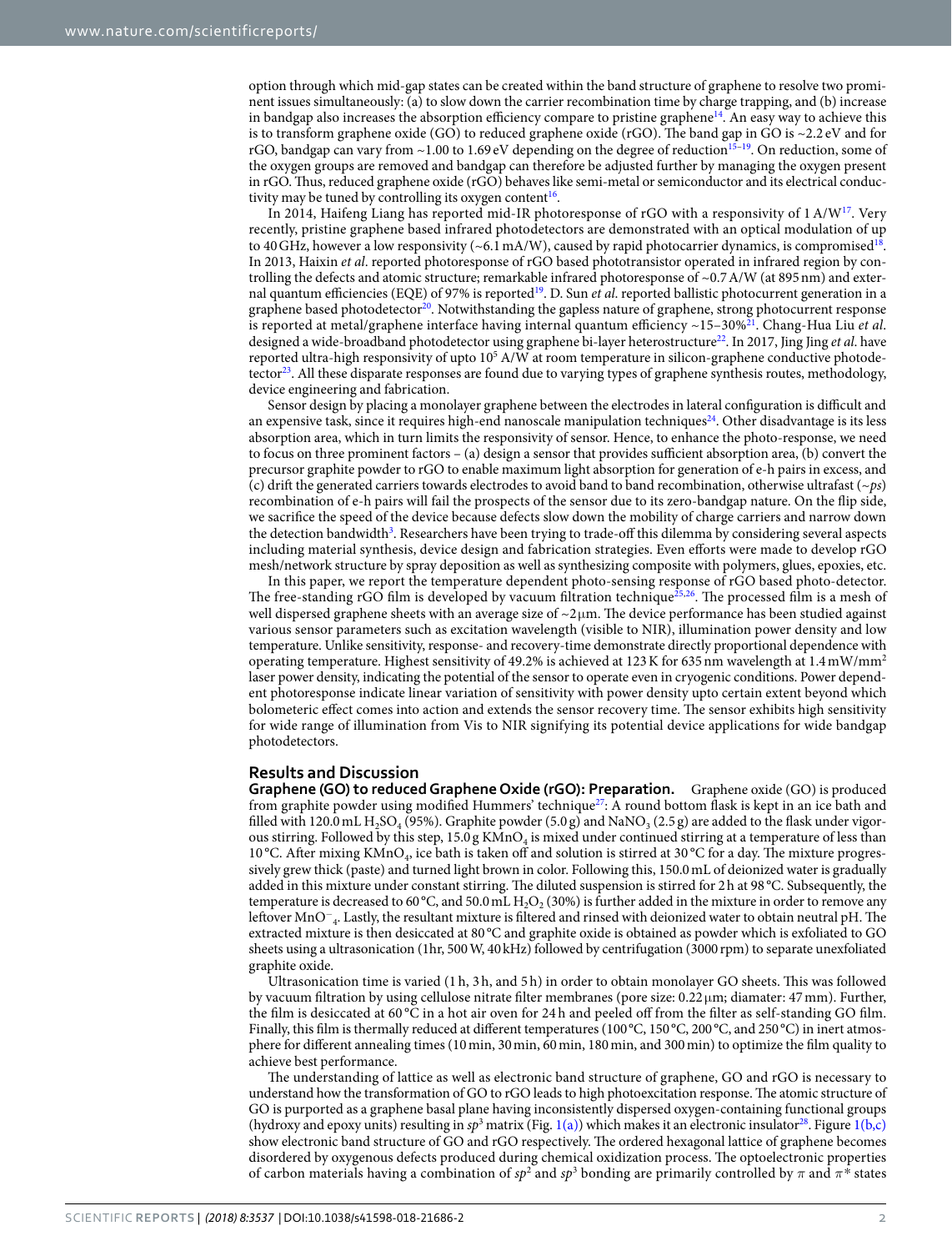option through which mid-gap states can be created within the band structure of graphene to resolve two prominent issues simultaneously: (a) to slow down the carrier recombination time by charge trapping, and (b) increase in bandgap also increases the absorption efficiency compare to pristine graphene<sup>[14](#page-11-3)</sup>. An easy way to achieve this is to transform graphene oxide (GO) to reduced graphene oxide (rGO). The band gap in GO is ~2.2 eV and for rGO, bandgap can vary from  $\sim$ 1.00 to 1.69 eV depending on the degree of reduction<sup>[15](#page-11-4)[–19](#page-11-5)</sup>. On reduction, some of the oxygen groups are removed and bandgap can therefore be adjusted further by managing the oxygen present in rGO. Thus, reduced graphene oxide (rGO) behaves like semi-metal or semiconductor and its electrical conduc-tivity may be tuned by controlling its oxygen content<sup>[16](#page-11-6)</sup>.

In 2014, Haifeng Liang has reported mid-IR photoresponse of rGO with a responsivity of 1 A/W<sup>[17](#page-11-7)</sup>. Very recently, pristine graphene based infrared photodetectors are demonstrated with an optical modulation of up to 40 GHz, however a low responsivity (~6.1 mA/W), caused by rapid photocarrier dynamics, is compromised<sup>[18](#page-11-8)</sup>. In 2013, Haixin et al. reported photoresponse of rGO based phototransistor operated in infrared region by controlling the defects and atomic structure; remarkable infrared photoresponse of ~0.7 A/W (at 895 nm) and exter-nal quantum efficiencies (EQE) of 97% is reported<sup>[19](#page-11-5)</sup>. D. Sun *et al.* reported ballistic photocurrent generation in a graphene based photodetector<sup>[20](#page-11-9)</sup>. Notwithstanding the gapless nature of graphene, strong photocurrent response is reported at metal/graphene interface having internal quantum efficiency  $\sim$ 15–30%<sup>[21](#page-11-10)</sup>. Chang-Hua Liu et al. designed a wide-broadband photodetector using graphene bi-layer heterostructure<sup>[22](#page-11-11)</sup>. In 2017, Jing Jing et al. have reported ultra-high responsivity of upto 10<sup>5</sup> A/W at room temperature in silicon-graphene conductive photode-tector<sup>[23](#page-11-12)</sup>. All these disparate responses are found due to varying types of graphene synthesis routes, methodology, device engineering and fabrication.

Sensor design by placing a monolayer graphene between the electrodes in lateral configuration is difficult and an expensive task, since it requires high-end nanoscale manipulation techniques<sup>[24](#page-11-13)</sup>. Other disadvantage is its less absorption area, which in turn limits the responsivity of sensor. Hence, to enhance the photo-response, we need to focus on three prominent factors – (a) design a sensor that provides sufficient absorption area, (b) convert the precursor graphite powder to rGO to enable maximum light absorption for generation of e-h pairs in excess, and (c) drift the generated carriers towards electrodes to avoid band to band recombination, otherwise ultrafast ( $\sim$ ps) recombination of e-h pairs will fail the prospects of the sensor due to its zero-bandgap nature. On the flip side, we sacrifice the speed of the device because defects slow down the mobility of charge carriers and narrow down the detection bandwidth<sup>[3](#page-10-1)</sup>. Researchers have been trying to trade-off this dilemma by considering several aspects including material synthesis, device design and fabrication strategies. Even efforts were made to develop rGO mesh/network structure by spray deposition as well as synthesizing composite with polymers, glues, epoxies, etc.

In this paper, we report the temperature dependent photo-sensing response of rGO based photo-detector. The free-standing rGO film is developed by vacuum filtration technique[25,](#page-11-14)[26](#page-11-15). The processed film is a mesh of well dispersed graphene sheets with an average size of  $\sim$ 2 $\mu$ m. The device performance has been studied against various sensor parameters such as excitation wavelength (visible to NIR), illumination power density and low temperature. Unlike sensitivity, response- and recovery-time demonstrate directly proportional dependence with operating temperature. Highest sensitivity of 49.2% is achieved at 123 K for 635 nm wavelength at 1.4 mW/mm<sup>2</sup> laser power density, indicating the potential of the sensor to operate even in cryogenic conditions. Power dependent photoresponse indicate linear variation of sensitivity with power density upto certain extent beyond which bolometeric effect comes into action and extends the sensor recovery time. The sensor exhibits high sensitivity for wide range of illumination from Vis to NIR signifying its potential device applications for wide bandgap photodetectors.

#### **Results and Discussion**

**Graphene (GO) to reduced Graphene Oxide (rGO): Preparation.** Graphene oxide (GO) is produced from graphite powder using modified Hummers' technique<sup>[27](#page-11-16)</sup>: A round bottom flask is kept in an ice bath and filled with 120.0 mL H<sub>2</sub>SO<sub>4</sub> (95%). Graphite powder (5.0 g) and NaNO<sub>3</sub> (2.5 g) are added to the flask under vigorous stirring. Followed by this step,  $15.0$  g KMn $O_4$  is mixed under continued stirring at a temperature of less than 10 °C. After mixing KMnO<sub>4</sub>, ice bath is taken off and solution is stirred at 30 °C for a day. The mixture progressively grew thick (paste) and turned light brown in color. Following this, 150.0 mL of deionized water is gradually added in this mixture under constant stirring. The diluted suspension is stirred for 2 h at 98 °C. Subsequently, the temperature is decreased to 60 °C, and 50.0 mL  $H_2O_2$  (30%) is further added in the mixture in order to remove any leftover MnO<sup>−</sup> 4 . Lastly, the resultant mixture is filtered and rinsed with deionized water to obtain neutral pH. The extracted mixture is then desiccated at 80 °C and graphite oxide is obtained as powder which is exfoliated to GO sheets using a ultrasonication (1hr, 500 W, 40 kHz) followed by centrifugation (3000 rpm) to separate unexfoliated graphite oxide.

Ultrasonication time is varied (1 h, 3 h, and 5 h) in order to obtain monolayer GO sheets. This was followed by vacuum filtration by using cellulose nitrate filter membranes (pore size:  $0.22 \mu m$ ; diamater: 47 mm). Further, the film is desiccated at 60 °C in a hot air oven for 24 h and peeled off from the filter as self-standing GO film. Finally, this film is thermally reduced at different temperatures (100 °C, 150 °C, 200 °C, and 250 °C) in inert atmosphere for different annealing times (10 min, 30 min, 60 min, 180 min, and 300 min) to optimize the film quality to achieve best performance.

The understanding of lattice as well as electronic band structure of graphene, GO and rGO is necessary to understand how the transformation of GO to rGO leads to high photoexcitation response. The atomic structure of GO is purported as a graphene basal plane having inconsistently dispersed oxygen-containing functional groups (hydroxy and epoxy units) resulting in  $sp^3$  matrix (Fig. [1\(a\)\)](#page-2-0) which makes it an electronic insulator<sup>[28](#page-11-17)</sup>. Figure [1\(b,c\)](#page-2-0) show electronic band structure of GO and rGO respectively. The ordered hexagonal lattice of graphene becomes disordered by oxygenous defects produced during chemical oxidization process. The optoelectronic properties of carbon materials having a combination of  $sp^2$  and  $sp^3$  bonding are primarily controlled by  $\pi$  and  $\pi^*$  states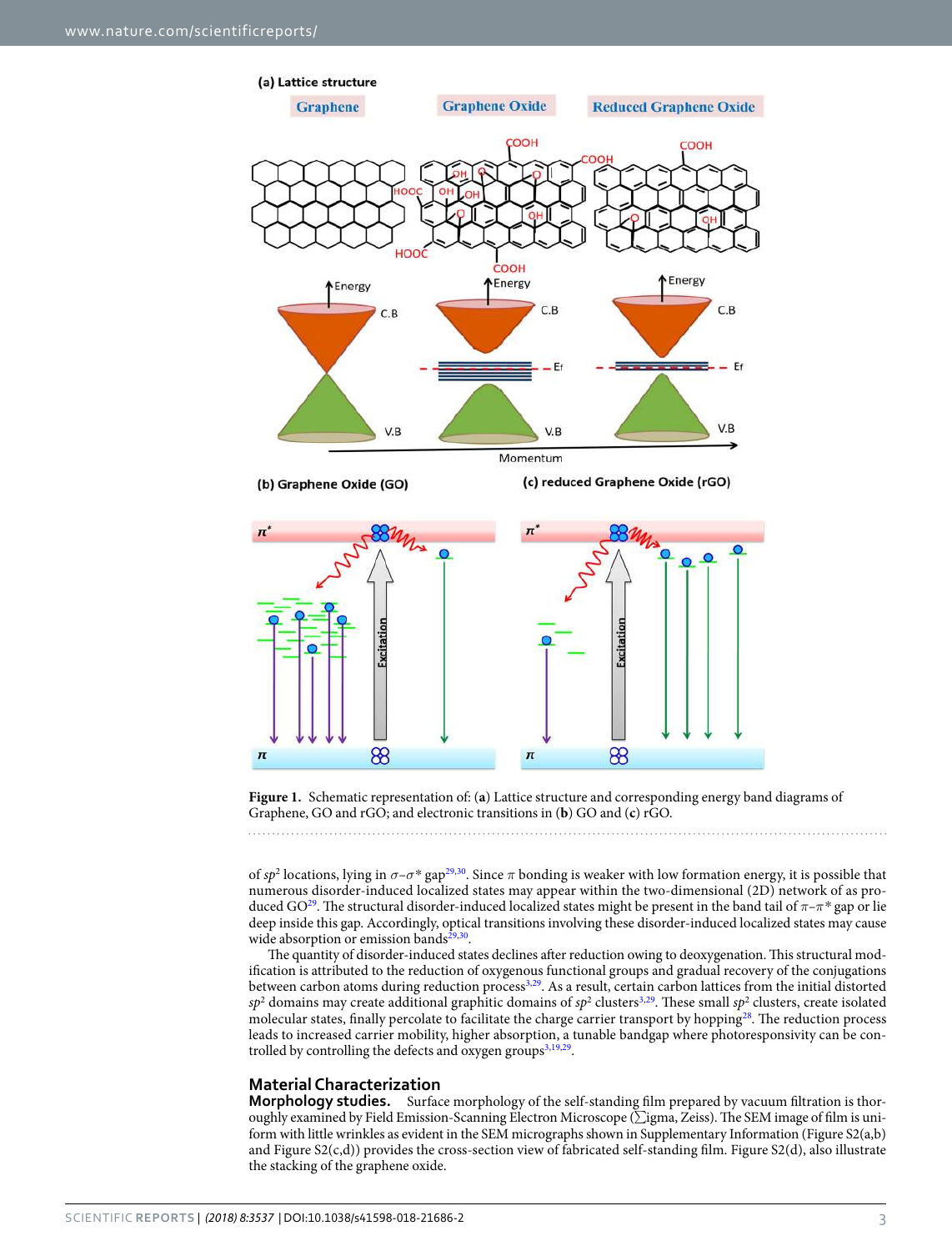

<span id="page-2-0"></span>**Figure 1.** Schematic representation of: (**a**) Lattice structure and corresponding energy band diagrams of Graphene, GO and rGO; and electronic transitions in (**b**) GO and (**c**) rGO.

of  $sp^2$  locations, lying in  $\sigma$ – $\sigma$ <sup>\*</sup> gap<sup>[29](#page-11-18),[30](#page-11-19)</sup>. Since  $\pi$  bonding is weaker with low formation energy, it is possible that numerous disorder-induced localized states may appear within the two-dimensional (2D) network of as pro-duced GO<sup>[29](#page-11-18)</sup>. The structural disorder-induced localized states might be present in the band tail of  $\pi-\pi^*$  gap or lie deep inside this gap. Accordingly, optical transitions involving these disorder-induced localized states may cause wide absorption or emission bands<sup>[29](#page-11-18)[,30](#page-11-19)</sup>.

The quantity of disorder-induced states declines after reduction owing to deoxygenation. This structural modification is attributed to the reduction of oxygenous functional groups and gradual recovery of the conjugations between carbon atoms during reduction process<sup>[3,](#page-10-1)[29](#page-11-18)</sup>. As a result, certain carbon lattices from the initial distorted  $sp^2$  domains may create additional graphitic domains of  $sp^2$  clusters<sup>[3,](#page-10-1)[29](#page-11-18)</sup>. These small  $sp^2$  clusters, create isolated molecular states, finally percolate to facilitate the charge carrier transport by hopping [28](#page-11-17). The reduction process leads to increased carrier mobility, higher absorption, a tunable bandgap where photoresponsivity can be con-trolled by controlling the defects and oxygen groups<sup>[3,](#page-10-1)[19](#page-11-5),[29](#page-11-18)</sup>.

### **Material Characterization**

**Morphology studies.** Surface morphology of the self-standing film prepared by vacuum filtration is thoroughly examined by Field Emission-Scanning Electron Microscope (∑igma, Zeiss). The SEM image of film is uniform with little wrinkles as evident in the SEM micrographs shown in Supplementary Information (Figure S2(a,b) and Figure S2(c,d)) provides the cross-section view of fabricated self-standing film. Figure S2(d), also illustrate the stacking of the graphene oxide.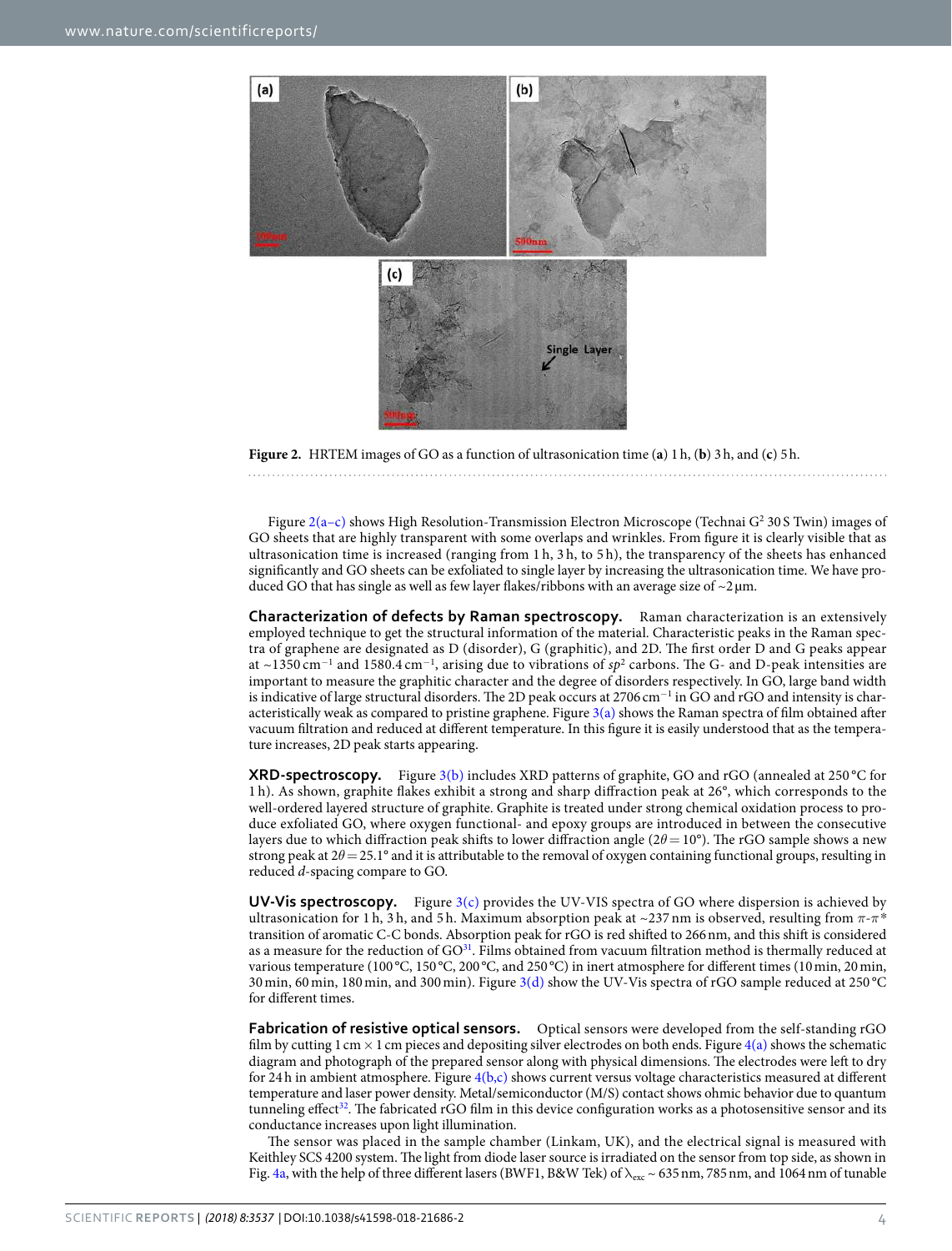

<span id="page-3-0"></span>

Figure 2(a-c) shows High Resolution-Transmission Electron Microscope (Technai G<sup>2</sup> 30 S Twin) images of GO sheets that are highly transparent with some overlaps and wrinkles. From figure it is clearly visible that as ultrasonication time is increased (ranging from 1 h, 3 h, to 5 h), the transparency of the sheets has enhanced significantly and GO sheets can be exfoliated to single layer by increasing the ultrasonication time. We have produced GO that has single as well as few layer flakes/ribbons with an average size of  $\sim$ 2  $\mu$ m.

**Characterization of defects by Raman spectroscopy.** Raman characterization is an extensively employed technique to get the structural information of the material. Characteristic peaks in the Raman spectra of graphene are designated as D (disorder), G (graphitic), and 2D. The first order D and G peaks appear at ~1350 cm<sup>−1</sup> and 1580.4 cm<sup>−1</sup>, arising due to vibrations of sp<sup>2</sup> carbons. The G- and D-peak intensities are important to measure the graphitic character and the degree of disorders respectively. In GO, large band width is indicative of large structural disorders. The 2D peak occurs at 2706 cm<sup>-1</sup> in GO and rGO and intensity is characteristically weak as compared to pristine graphene. Figure  $3(a)$  shows the Raman spectra of film obtained after vacuum filtration and reduced at different temperature. In this figure it is easily understood that as the temperature increases, 2D peak starts appearing.

**XRD-spectroscopy.** Figure [3\(b\)](#page-4-0) includes XRD patterns of graphite, GO and rGO (annealed at 250 °C for 1 h). As shown, graphite flakes exhibit a strong and sharp diffraction peak at 26°, which corresponds to the well-ordered layered structure of graphite. Graphite is treated under strong chemical oxidation process to produce exfoliated GO, where oxygen functional- and epoxy groups are introduced in between the consecutive layers due to which diffraction peak shifts to lower diffraction angle (2θ = 10°). The rGO sample shows a new strong peak at  $2\theta = 25.1^\circ$  and it is attributable to the removal of oxygen containing functional groups, resulting in reduced d-spacing compare to GO.

**UV-Vis spectroscopy.** Figure [3\(c\)](#page-4-0) provides the UV-VIS spectra of GO where dispersion is achieved by ultrasonication for 1 h, 3 h, and 5 h. Maximum absorption peak at ~237 nm is observed, resulting from *π*-*π\** transition of aromatic C-C bonds. Absorption peak for rGO is red shifted to 266 nm, and this shift is considered as a measure for the reduction of  $GO^{31}$  $GO^{31}$  $GO^{31}$ . Films obtained from vacuum filtration method is thermally reduced at various temperature (100 °C, 150 °C, 200 °C, and 250 °C) in inert atmosphere for different times (10 min, 20 min, 30 min, 60 min, 180 min, and 300 min). Figure [3\(d\)](#page-4-0) show the UV-Vis spectra of rGO sample reduced at 250 °C for different times.

**Fabrication of resistive optical sensors.** Optical sensors were developed from the self-standing rGO film by cutting 1 cm  $\times$  1 cm pieces and depositing silver electrodes on both ends. Figure [4\(a\)](#page-5-0) shows the schematic diagram and photograph of the prepared sensor along with physical dimensions. The electrodes were left to dry for 24 h in ambient atmosphere. Figure  $4(b,c)$  shows current versus voltage characteristics measured at different temperature and laser power density. Metal/semiconductor (M/S) contact shows ohmic behavior due to quantum tunneling effect<sup>[32](#page-11-21)</sup>. The fabricated rGO film in this device configuration works as a photosensitive sensor and its conductance increases upon light illumination.

The sensor was placed in the sample chamber (Linkam, UK), and the electrical signal is measured with Keithley SCS 4200 system. The light from diode laser source is irradiated on the sensor from top side, as shown in Fig. [4a,](#page-5-0) with the help of three different lasers (BWF1, B&W Tek) of  $\lambda_{\rm exc} \sim 635$  nm, 785 nm, and 1064 nm of tunable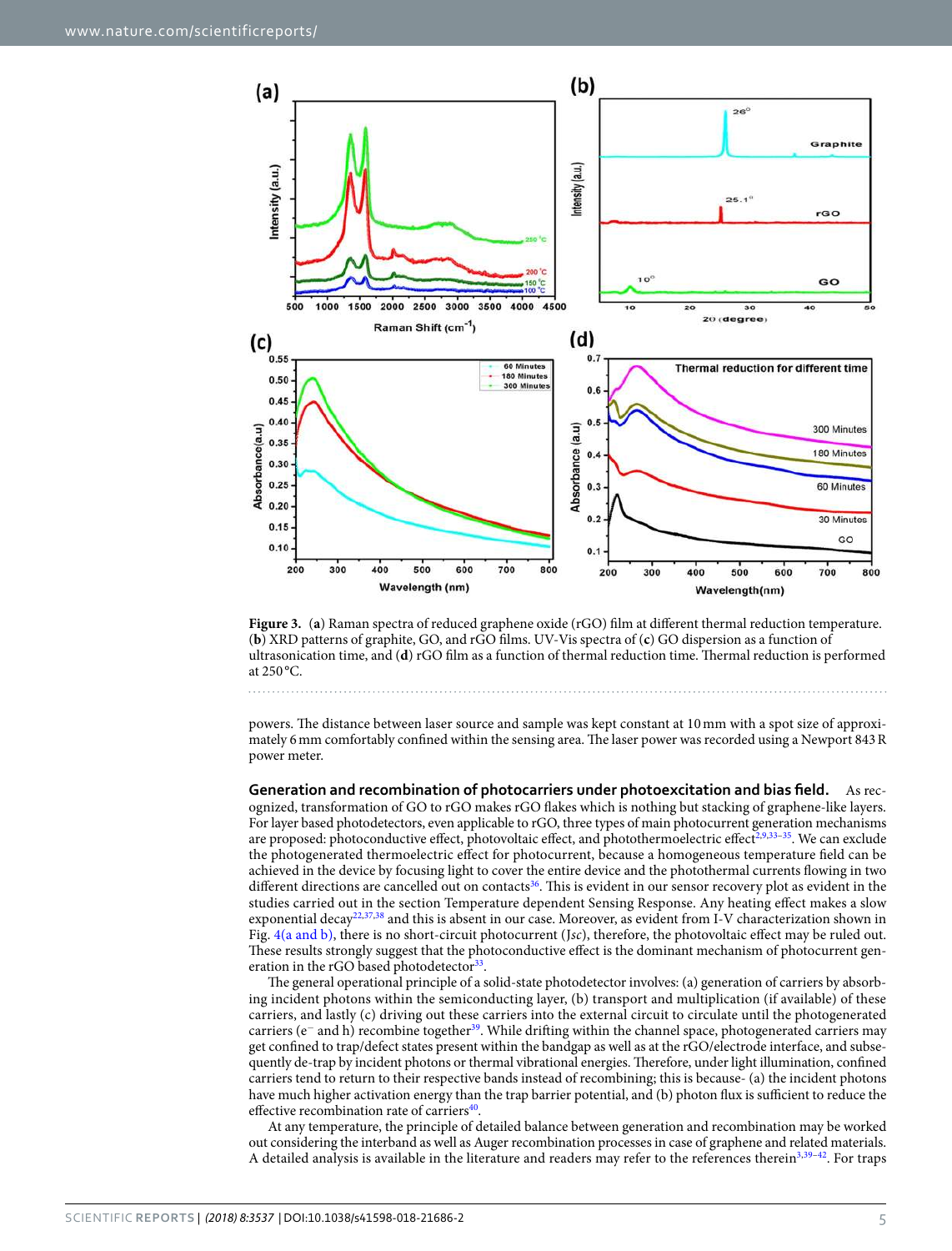

<span id="page-4-0"></span>**Figure 3.** (**a**) Raman spectra of reduced graphene oxide (rGO) film at different thermal reduction temperature. (**b**) XRD patterns of graphite, GO, and rGO films. UV-Vis spectra of (**c**) GO dispersion as a function of ultrasonication time, and (**d**) rGO film as a function of thermal reduction time. Thermal reduction is performed at 250 °C.

powers. The distance between laser source and sample was kept constant at 10 mm with a spot size of approximately 6 mm comfortably confined within the sensing area. The laser power was recorded using a Newport 843 R power meter.

**Generation and recombination of photocarriers under photoexcitation and bias field.** As recognized, transformation of GO to rGO makes rGO flakes which is nothing but stacking of graphene-like layers. For layer based photodetectors, even applicable to rGO, three types of main photocurrent generation mechanisms are proposed: photoconductive effect, photovoltaic effect, and photothermoelectric effect<sup>[2,](#page-10-5)[9,](#page-10-4)33-[35](#page-11-23)</sup>. We can exclude the photogenerated thermoelectric effect for photocurrent, because a homogeneous temperature field can be achieved in the device by focusing light to cover the entire device and the photothermal currents flowing in two different directions are cancelled out on contacts<sup>[36](#page-11-24)</sup>. This is evident in our sensor recovery plot as evident in the studies carried out in the section Temperature dependent Sensing Response. Any heating effect makes a slow exponential decay<sup>[22](#page-11-11),[37](#page-11-25),[38](#page-11-26)</sup> and this is absent in our case. Moreover, as evident from I-V characterization shown in Fig. [4\(a and b\)](#page-5-0), there is no short-circuit photocurrent (Jsc), therefore, the photovoltaic effect may be ruled out. These results strongly suggest that the photoconductive effect is the dominant mechanism of photocurrent gen-eration in the rGO based photodetector<sup>[33](#page-11-22)</sup>.

The general operational principle of a solid-state photodetector involves: (a) generation of carriers by absorbing incident photons within the semiconducting layer, (b) transport and multiplication (if available) of these carriers, and lastly (c) driving out these carriers into the external circuit to circulate until the photogenerated carriers (e<sup>−</sup> and h) recombine together<sup>[39](#page-11-27)</sup>. While drifting within the channel space, photogenerated carriers may get confined to trap/defect states present within the bandgap as well as at the rGO/electrode interface, and subsequently de-trap by incident photons or thermal vibrational energies. Therefore, under light illumination, confined carriers tend to return to their respective bands instead of recombining; this is because- (a) the incident photons have much higher activation energy than the trap barrier potential, and (b) photon flux is sufficient to reduce the effective recombination rate of carriers<sup>[40](#page-11-28)</sup>.

At any temperature, the principle of detailed balance between generation and recombination may be worked out considering the interband as well as Auger recombination processes in case of graphene and related materials. A detailed analysis is available in the literature and readers may refer to the references therein<sup>[3](#page-10-1),[39](#page-11-27)–[42](#page-11-29)</sup>. For traps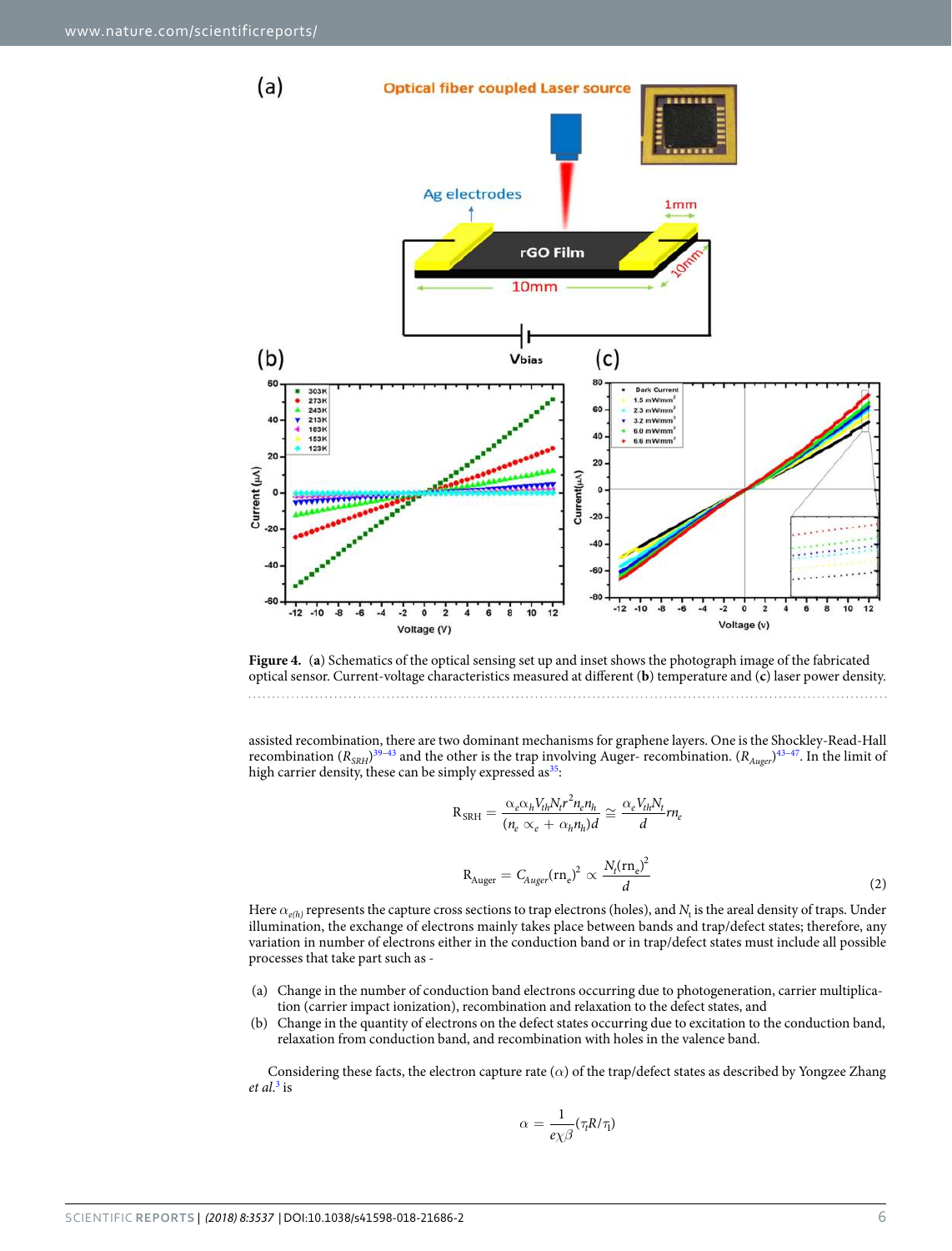

<span id="page-5-0"></span>**Figure 4.** (**a**) Schematics of the optical sensing set up and inset shows the photograph image of the fabricated optical sensor. Current-voltage characteristics measured at different (**b**) temperature and (**c**) laser power density.

assisted recombination, there are two dominant mechanisms for graphene layers. One is the Shockley-Read-Hall recombination  $(R_{SRH})^{39-43}$  $(R_{SRH})^{39-43}$  $(R_{SRH})^{39-43}$  and the other is the trap involving Auger- recombination.  $(R_{Auger})^{43-47}$  $(R_{Auger})^{43-47}$  $(R_{Auger})^{43-47}$ . In the limit of high carrier density, these can be simply expressed as<sup>[35](#page-11-23)</sup>:

$$
R_{SRH} = \frac{\alpha_e \alpha_h V_{th} N_t r^2 n_e n_h}{(n_e \alpha_e + \alpha_h n_h) d} \approx \frac{\alpha_e V_{th} N_t}{d} r n_e
$$
  

$$
R_{Auger} = C_{Auger} (r n_e)^2 \propto \frac{N_t (r n_e)^2}{d}
$$
 (2)

Here  $\alpha_{e(h)}$  represents the capture cross sections to trap electrons (holes), and  $N_{\rm t}$  is the areal density of traps. Under illumination, the exchange of electrons mainly takes place between bands and trap/defect states; therefore, any variation in number of electrons either in the conduction band or in trap/defect states must include all possible processes that take part such as -

- (a) Change in the number of conduction band electrons occurring due to photogeneration, carrier multiplication (carrier impact ionization), recombination and relaxation to the defect states, and
- (b) Change in the quantity of electrons on the defect states occurring due to excitation to the conduction band, relaxation from conduction band, and recombination with holes in the valence band.

<span id="page-5-1"></span>Considering these facts, the electron capture rate (*α*) of the trap/defect states as described by Yongzee Zhang et al.<sup>[3](#page-10-1)</sup> is

$$
\alpha = \frac{1}{e\chi\beta}(\tau_t R/\tau_1)
$$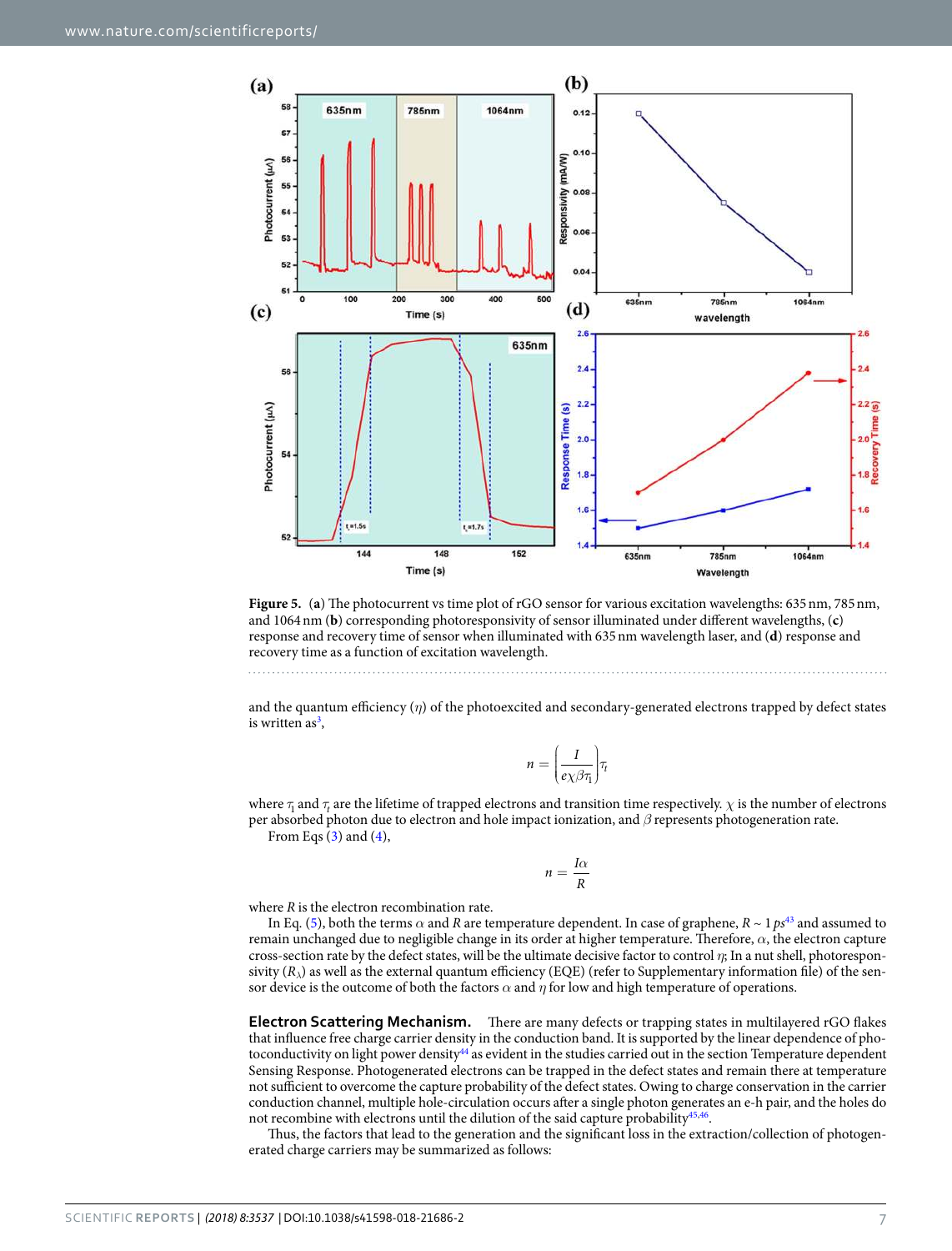

<span id="page-6-2"></span>**Figure 5.** (**a**) The photocurrent vs time plot of rGO sensor for various excitation wavelengths: 635 nm, 785 nm, and 1064 nm (**b**) corresponding photoresponsivity of sensor illuminated under different wavelengths, (**c**) response and recovery time of sensor when illuminated with 635 nm wavelength laser, and (**d**) response and recovery time as a function of excitation wavelength.

and the quantum efficiency (*η*) of the photoexcited and secondary-generated electrons trapped by defect states is written as<sup>[3](#page-10-1)</sup>,

$$
n = \left(\frac{I}{e\chi\beta\tau_1}\right)\tau_t
$$

<span id="page-6-0"></span>where  $\tau_1$  and  $\tau_t$  are the lifetime of trapped electrons and transition time respectively.  $\chi$  is the number of electrons per absorbed photon due to electron and hole impact ionization, and *β* represents photogeneration rate. From Eqs  $(3)$  and  $(4)$  $(4)$  $(4)$ ,

$$
n=\frac{I\alpha}{R}
$$

<span id="page-6-1"></span>where  $R$  is the electron recombination rate.

In Eq. [\(5](#page-6-1)), both the terms  $\alpha$  and R are temperature dependent. In case of graphene,  $R \sim 1$   $p s^{43}$  $p s^{43}$  $p s^{43}$  and assumed to remain unchanged due to negligible change in its order at higher temperature. Therefore, *α*, the electron capture cross-section rate by the defect states, will be the ultimate decisive factor to control *η*; In a nut shell, photorespon- $\sin(t)$  as well as the external quantum efficiency (EQE) (refer to Supplementary information file) of the sensor device is the outcome of both the factors  $\alpha$  and  $\eta$  for low and high temperature of operations.

**Electron Scattering Mechanism.** There are many defects or trapping states in multilayered rGO flakes that influence free charge carrier density in the conduction band. It is supported by the linear dependence of pho-toconductivity on light power density<sup>[44](#page-11-32)</sup> as evident in the studies carried out in the section Temperature dependent Sensing Response. Photogenerated electrons can be trapped in the defect states and remain there at temperature not sufficient to overcome the capture probability of the defect states. Owing to charge conservation in the carrier conduction channel, multiple hole-circulation occurs after a single photon generates an e-h pair, and the holes do not recombine with electrons until the dilution of the said capture probability<sup>[45](#page-11-33),[46](#page-11-34)</sup>.

Thus, the factors that lead to the generation and the significant loss in the extraction/collection of photogenerated charge carriers may be summarized as follows: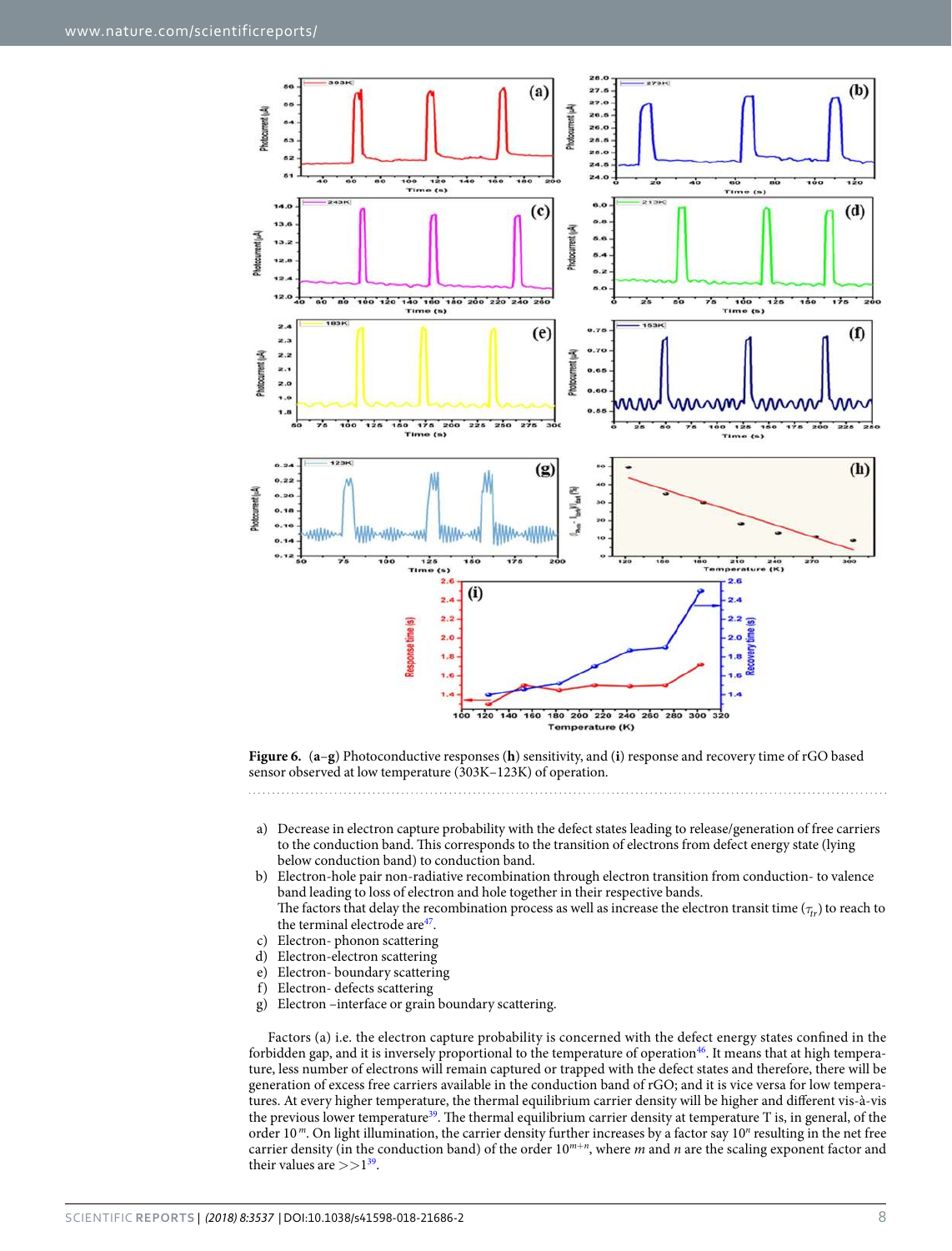

<span id="page-7-0"></span>**Figure 6.** (**a**–**g**) Photoconductive responses (**h**) sensitivity, and (**i**) response and recovery time of rGO based sensor observed at low temperature (303K–123K) of operation.

- a) Decrease in electron capture probability with the defect states leading to release/generation of free carriers to the conduction band. This corresponds to the transition of electrons from defect energy state (lying below conduction band) to conduction band.
- b) Electron-hole pair non-radiative recombination through electron transition from conduction- to valence band leading to loss of electron and hole together in their respective bands. The factors that delay the recombination process as well as increase the electron transit time ( $\tau_{rr}$ ) to reach to the terminal electrode are<sup>[47](#page-11-31)</sup>.
- c) Electron- phonon scattering
- d) Electron-electron scattering
- e) Electron- boundary scattering
- f) Electron- defects scattering
- g) Electron –interface or grain boundary scattering.

Factors (a) i.e. the electron capture probability is concerned with the defect energy states confined in the forbidden gap, and it is inversely proportional to the temperature of operation<sup>[46](#page-11-34)</sup>. It means that at high temperature, less number of electrons will remain captured or trapped with the defect states and therefore, there will be generation of excess free carriers available in the conduction band of rGO; and it is vice versa for low temperatures. At every higher temperature, the thermal equilibrium carrier density will be higher and different vis-à-vis the previous lower temperature<sup>[39](#page-11-27)</sup>. The thermal equilibrium carrier density at temperature T is, in general, of the order 10<sup>m</sup>. On light illumination, the carrier density further increases by a factor say 10<sup>n</sup> resulting in the net free carrier density (in the conduction band) of the order  $10^{m+n}$ , where m and n are the scaling exponent factor and their values are  $>>1^{39}$  $>>1^{39}$  $>>1^{39}$ .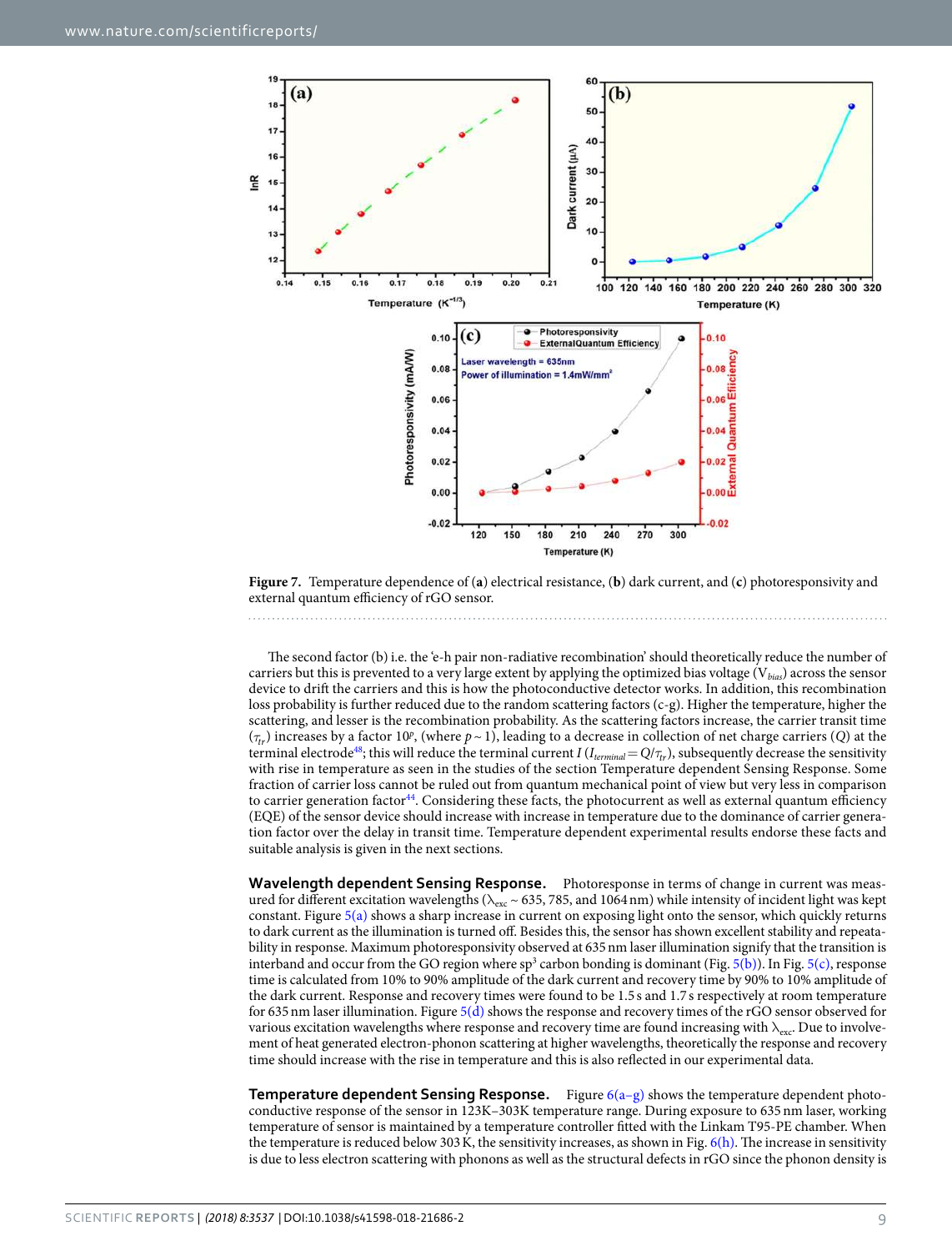

<span id="page-8-0"></span>**Figure 7.** Temperature dependence of (**a**) electrical resistance, (**b**) dark current, and (**c**) photoresponsivity and external quantum efficiency of rGO sensor.

The second factor (b) i.e. the 'e-h pair non-radiative recombination' should theoretically reduce the number of carriers but this is prevented to a very large extent by applying the optimized bias voltage ( $V_{bias}$ ) across the sensor device to drift the carriers and this is how the photoconductive detector works. In addition, this recombination loss probability is further reduced due to the random scattering factors (c-g). Higher the temperature, higher the scattering, and lesser is the recombination probability. As the scattering factors increase, the carrier transit time  $(\tau_{tr})$  increases by a factor 10<sup>p</sup>, (where  $p \sim 1$ ), leading to a decrease in collection of net charge carriers (Q) at the terminal electrode<sup>[48](#page-11-35)</sup>; this will reduce the terminal current I ( $I_{terminal} = Q/\tau_{tr}$ ), subsequently decrease the sensitivity with rise in temperature as seen in the studies of the section Temperature dependent Sensing Response. Some fraction of carrier loss cannot be ruled out from quantum mechanical point of view but very less in comparison to carrier generation factor<sup>[44](#page-11-32)</sup>. Considering these facts, the photocurrent as well as external quantum efficiency (EQE) of the sensor device should increase with increase in temperature due to the dominance of carrier generation factor over the delay in transit time. Temperature dependent experimental results endorse these facts and suitable analysis is given in the next sections.

**Wavelength dependent Sensing Response.** Photoresponse in terms of change in current was measured for different excitation wavelengths ( $\lambda_{\text{exc}} \sim 635$ , 785, and 1064 nm) while intensity of incident light was kept constant. Figure [5\(a\)](#page-6-2) shows a sharp increase in current on exposing light onto the sensor, which quickly returns to dark current as the illumination is turned off. Besides this, the sensor has shown excellent stability and repeatability in response. Maximum photoresponsivity observed at 635 nm laser illumination signify that the transition is interband and occur from the GO region where  $sp^3$  carbon bonding is dominant (Fig. [5\(b\)\)](#page-6-2). In Fig. [5\(c\)](#page-6-2), response time is calculated from 10% to 90% amplitude of the dark current and recovery time by 90% to 10% amplitude of the dark current. Response and recovery times were found to be 1.5 s and 1.7 s respectively at room temperature for 635 nm laser illumination. Figure [5\(d\)](#page-6-2) shows the response and recovery times of the rGO sensor observed for various excitation wavelengths where response and recovery time are found increasing with  $\lambda_{\text{exc}}$ . Due to involvement of heat generated electron-phonon scattering at higher wavelengths, theoretically the response and recovery time should increase with the rise in temperature and this is also reflected in our experimental data.

**Temperature dependent Sensing Response.** Figure [6\(a–g\)](#page-7-0) shows the temperature dependent photoconductive response of the sensor in 123K–303K temperature range. During exposure to 635 nm laser, working temperature of sensor is maintained by a temperature controller fitted with the Linkam T95-PE chamber. When the temperature is reduced below 303 K, the sensitivity increases, as shown in Fig. [6\(h\).](#page-7-0) The increase in sensitivity is due to less electron scattering with phonons as well as the structural defects in rGO since the phonon density is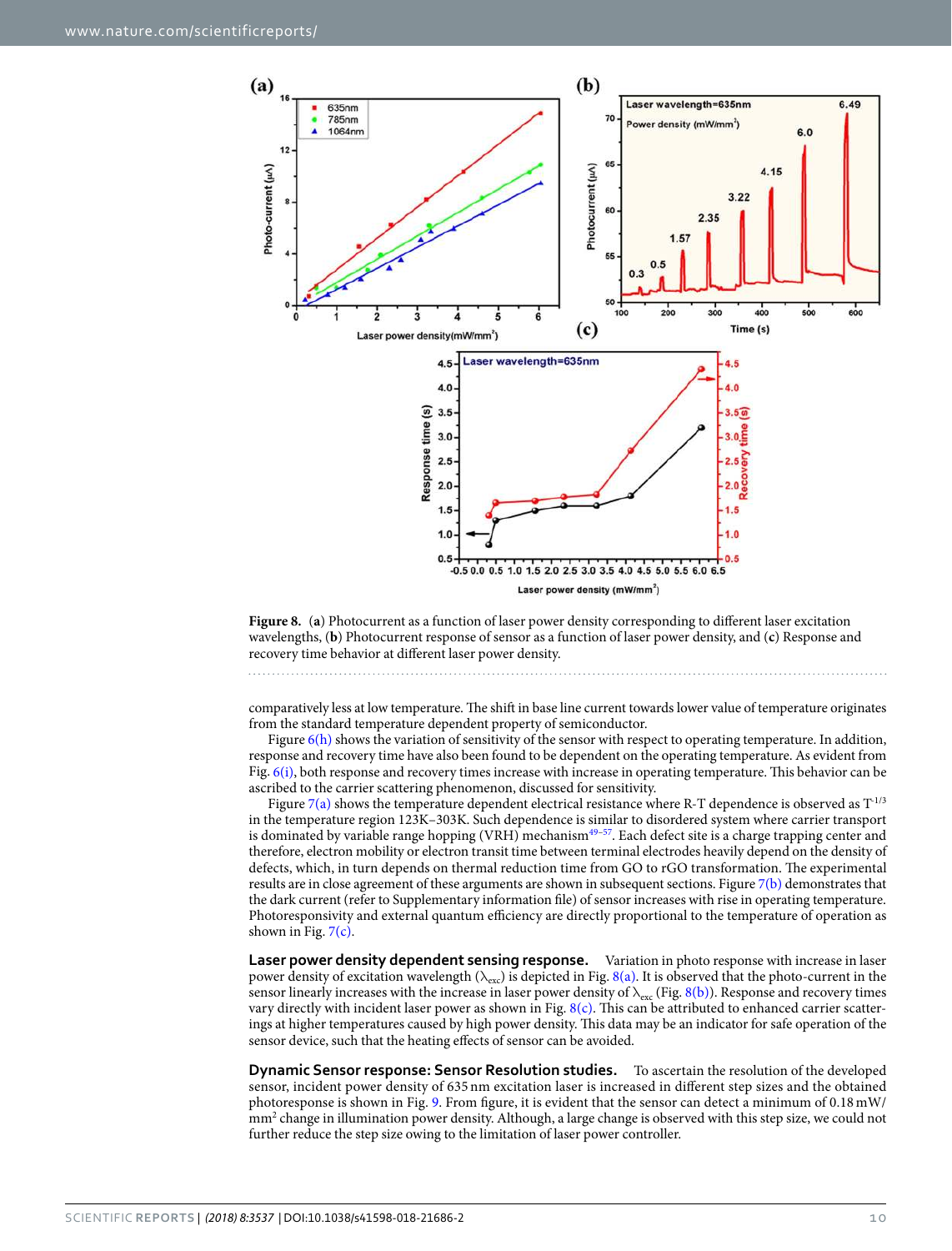

<span id="page-9-0"></span>**Figure 8.** (**a**) Photocurrent as a function of laser power density corresponding to different laser excitation wavelengths, (**b**) Photocurrent response of sensor as a function of laser power density, and (**c**) Response and recovery time behavior at different laser power density.

comparatively less at low temperature. The shift in base line current towards lower value of temperature originates from the standard temperature dependent property of semiconductor.

Figure  $6(h)$  shows the variation of sensitivity of the sensor with respect to operating temperature. In addition, response and recovery time have also been found to be dependent on the operating temperature. As evident from Fig.  $6(i)$ , both response and recovery times increase with increase in operating temperature. This behavior can be ascribed to the carrier scattering phenomenon, discussed for sensitivity.

Figure [7\(a\)](#page-8-0) shows the temperature dependent electrical resistance where R-T dependence is observed as  $T^{1/3}$ in the temperature region 123K–303K. Such dependence is similar to disordered system where carrier transport is dominated by variable range hopping (VRH) mechanism<sup>[49](#page-11-36)[–57](#page-12-0)</sup>. Each defect site is a charge trapping center and therefore, electron mobility or electron transit time between terminal electrodes heavily depend on the density of defects, which, in turn depends on thermal reduction time from GO to rGO transformation. The experimental results are in close agreement of these arguments are shown in subsequent sections. Figure [7\(b\)](#page-8-0) demonstrates that the dark current (refer to Supplementary information file) of sensor increases with rise in operating temperature. Photoresponsivity and external quantum efficiency are directly proportional to the temperature of operation as shown in Fig.  $7(c)$ .

**Laser power density dependent sensing response.** Variation in photo response with increase in laser power density of excitation wavelength ( $\lambda_{\text{exc}}$ ) is depicted in Fig. [8\(a\).](#page-9-0) It is observed that the photo-current in the sensor linearly increases with the increase in laser power density of  $\lambda_{\rm exc}$  (Fig. [8\(b\)\)](#page-9-0). Response and recovery times vary directly with incident laser power as shown in Fig.  $8(c)$ . This can be attributed to enhanced carrier scatterings at higher temperatures caused by high power density. This data may be an indicator for safe operation of the sensor device, such that the heating effects of sensor can be avoided.

**Dynamic Sensor response: Sensor Resolution studies.** To ascertain the resolution of the developed sensor, incident power density of 635 nm excitation laser is increased in different step sizes and the obtained photoresponse is shown in Fig. [9.](#page-10-6) From figure, it is evident that the sensor can detect a minimum of 0.18 mW/ mm<sup>2</sup> change in illumination power density. Although, a large change is observed with this step size, we could not further reduce the step size owing to the limitation of laser power controller.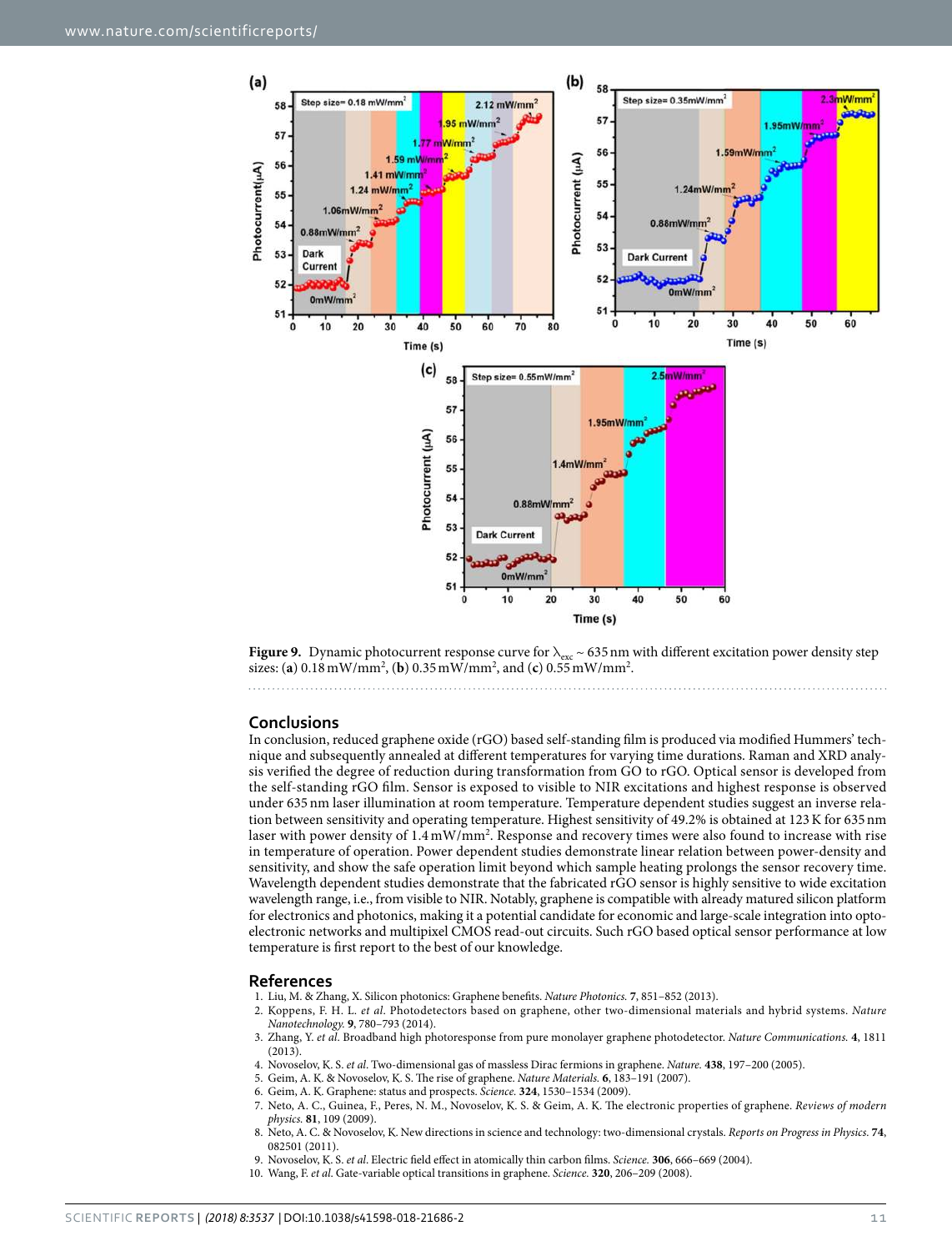

<span id="page-10-6"></span>

#### **Conclusions**

In conclusion, reduced graphene oxide (rGO) based self-standing film is produced via modified Hummers' technique and subsequently annealed at different temperatures for varying time durations. Raman and XRD analysis verified the degree of reduction during transformation from GO to rGO. Optical sensor is developed from the self-standing rGO film. Sensor is exposed to visible to NIR excitations and highest response is observed under 635 nm laser illumination at room temperature. Temperature dependent studies suggest an inverse relation between sensitivity and operating temperature. Highest sensitivity of 49.2% is obtained at 123 K for 635 nm laser with power density of 1.4 mW/mm<sup>2</sup> . Response and recovery times were also found to increase with rise in temperature of operation. Power dependent studies demonstrate linear relation between power-density and sensitivity, and show the safe operation limit beyond which sample heating prolongs the sensor recovery time. Wavelength dependent studies demonstrate that the fabricated rGO sensor is highly sensitive to wide excitation wavelength range, i.e., from visible to NIR. Notably, graphene is compatible with already matured silicon platform for electronics and photonics, making it a potential candidate for economic and large-scale integration into optoelectronic networks and multipixel CMOS read-out circuits. Such rGO based optical sensor performance at low temperature is first report to the best of our knowledge.

#### **References**

- <span id="page-10-0"></span>1. Liu, M. & Zhang, X. Silicon photonics: Graphene benefits. Nature Photonics. **7**, 851–852 (2013).
- <span id="page-10-5"></span>2. Koppens, F. H. L. et al. Photodetectors based on graphene, other two-dimensional materials and hybrid systems. Nature Nanotechnology. **9**, 780–793 (2014).
- <span id="page-10-1"></span> 3. Zhang, Y. et al. Broadband high photoresponse from pure monolayer graphene photodetector. Nature Communications. **4**, 1811  $(2013)$
- <span id="page-10-2"></span>4. Novoselov, K. S. et al. Two-dimensional gas of massless Dirac fermions in graphene. Nature. **438**, 197–200 (2005).
- 5. Geim, A. K. & Novoselov, K. S. The rise of graphene. Nature Materials. **6**, 183–191 (2007).
- 6. Geim, A. K. Graphene: status and prospects. Science. **324**, 1530–1534 (2009).
- 7. Neto, A. C., Guinea, F., Peres, N. M., Novoselov, K. S. & Geim, A. K. The electronic properties of graphene. Reviews of modern physics. **81**, 109 (2009).
- <span id="page-10-3"></span> 8. Neto, A. C. & Novoselov, K. New directions in science and technology: two-dimensional crystals. Reports on Progress in Physics. **74**, 082501 (2011).
- <span id="page-10-4"></span>9. Novoselov, K. S. et al. Electric field effect in atomically thin carbon films. Science. **306**, 666–669 (2004).
- 10. Wang, F. et al. Gate-variable optical transitions in graphene. Science. **320**, 206–209 (2008).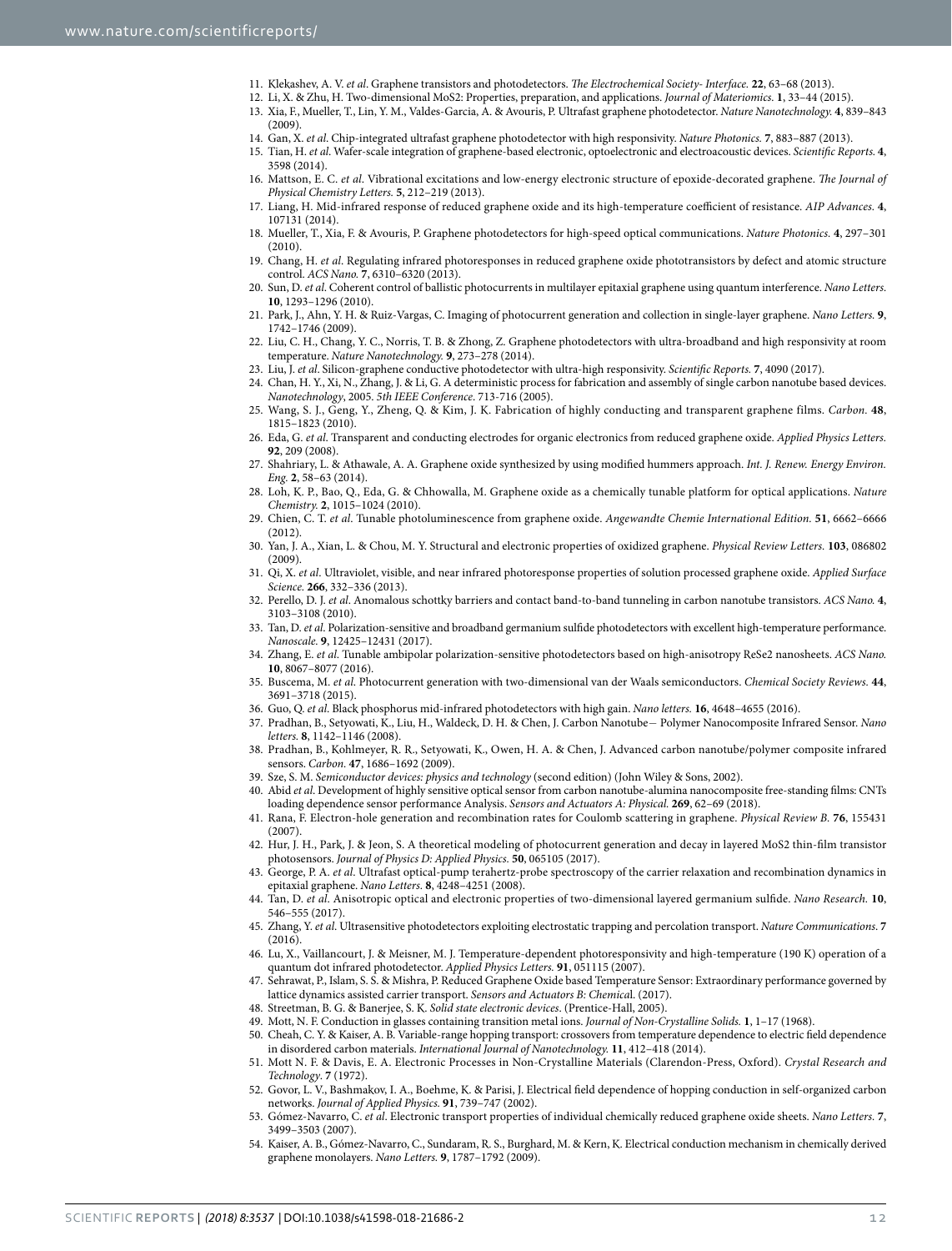- <span id="page-11-0"></span>11. Klekashev, A. V. et al. Graphene transistors and photodetectors. The Electrochemical Society- Interface. **22**, 63–68 (2013).
- <span id="page-11-2"></span><span id="page-11-1"></span> 12. Li, X. & Zhu, H. Two-dimensional MoS2: Properties, preparation, and applications. Journal of Materiomics. **1**, 33–44 (2015). 13. Xia, F., Mueller, T., Lin, Y. M., Valdes-Garcia, A. & Avouris, P. Ultrafast graphene photodetector. Nature Nanotechnology. **4**, 839–843  $(2009)$
- <span id="page-11-3"></span>14. Gan, X. et al. Chip-integrated ultrafast graphene photodetector with high responsivity. Nature Photonics. **7**, 883–887 (2013).
- <span id="page-11-4"></span> 15. Tian, H. et al. Wafer-scale integration of graphene-based electronic, optoelectronic and electroacoustic devices. Scientific Reports. **4**, 3598 (2014).
- <span id="page-11-6"></span>16. Mattson, E. C. et al. Vibrational excitations and low-energy electronic structure of epoxide-decorated graphene. The Journal of Physical Chemistry Letters. **5**, 212–219 (2013).
- <span id="page-11-7"></span> 17. Liang, H. Mid-infrared response of reduced graphene oxide and its high-temperature coefficient of resistance. AIP Advances. **4**, 107131 (2014).
- <span id="page-11-8"></span> 18. Mueller, T., Xia, F. & Avouris, P. Graphene photodetectors for high-speed optical communications. Nature Photonics. **4**, 297–301  $(2010)$
- <span id="page-11-5"></span> 19. Chang, H. et al. Regulating infrared photoresponses in reduced graphene oxide phototransistors by defect and atomic structure control. ACS Nano. **7**, 6310–6320 (2013).
- <span id="page-11-9"></span>20. Sun, D. et al. Coherent control of ballistic photocurrents in multilayer epitaxial graphene using quantum interference. Nano Letters. **10**, 1293–1296 (2010).
- <span id="page-11-10"></span> 21. Park, J., Ahn, Y. H. & Ruiz-Vargas, C. Imaging of photocurrent generation and collection in single-layer graphene. Nano Letters. **9**, 1742–1746 (2009).
- <span id="page-11-11"></span> 22. Liu, C. H., Chang, Y. C., Norris, T. B. & Zhong, Z. Graphene photodetectors with ultra-broadband and high responsivity at room temperature. Nature Nanotechnology. **9**, 273–278 (2014).
- <span id="page-11-12"></span>23. Liu, J. et al. Silicon-graphene conductive photodetector with ultra-high responsivity. Scientific Reports. **7**, 4090 (2017).
- <span id="page-11-13"></span> 24. Chan, H. Y., Xi, N., Zhang, J. & Li, G. A deterministic process for fabrication and assembly of single carbon nanotube based devices. Nanotechnology, 2005. 5th IEEE Conference. 713-716 (2005).
- <span id="page-11-14"></span> 25. Wang, S. J., Geng, Y., Zheng, Q. & Kim, J. K. Fabrication of highly conducting and transparent graphene films. Carbon. **48**, 1815–1823 (2010).
- <span id="page-11-15"></span> 26. Eda, G. et al. Transparent and conducting electrodes for organic electronics from reduced graphene oxide. Applied Physics Letters. **92**, 209 (2008).
- <span id="page-11-16"></span>27. Shahriary, L. & Athawale, A. A. Graphene oxide synthesized by using modified hummers approach. Int. J. Renew. Energy Environ. Eng. **2**, 58–63 (2014).
- <span id="page-11-17"></span> 28. Loh, K. P., Bao, Q., Eda, G. & Chhowalla, M. Graphene oxide as a chemically tunable platform for optical applications. Nature Chemistry. **2**, 1015–1024 (2010).
- <span id="page-11-18"></span> 29. Chien, C. T. et al. Tunable photoluminescence from graphene oxide. Angewandte Chemie International Edition. **51**, 6662–6666 (2012).
- <span id="page-11-19"></span> 30. Yan, J. A., Xian, L. & Chou, M. Y. Structural and electronic properties of oxidized graphene. Physical Review Letters. **103**, 086802 (2009).
- <span id="page-11-20"></span>31. Qi, X. et al. Ultraviolet, visible, and near infrared photoresponse properties of solution processed graphene oxide. Applied Surface Science. **266**, 332–336 (2013).
- <span id="page-11-21"></span> 32. Perello, D. J. et al. Anomalous schottky barriers and contact band-to-band tunneling in carbon nanotube transistors. ACS Nano. **4**, 3103–3108 (2010).
- <span id="page-11-22"></span>33. Tan, D. et al. Polarization-sensitive and broadband germanium sulfide photodetectors with excellent high-temperature performance. Nanoscale. **9**, 12425–12431 (2017).
- 34. Zhang, E. et al. Tunable ambipolar polarization-sensitive photodetectors based on high-anisotropy ReSe2 nanosheets. ACS Nano. **10**, 8067–8077 (2016).
- <span id="page-11-23"></span> 35. Buscema, M. et al. Photocurrent generation with two-dimensional van der Waals semiconductors. Chemical Society Reviews. **44**, 3691–3718 (2015).
- <span id="page-11-24"></span>36. Guo, Q. et al. Black phosphorus mid-infrared photodetectors with high gain. Nano letters. **16**, 4648–4655 (2016).
- <span id="page-11-25"></span> 37. Pradhan, B., Setyowati, K., Liu, H., Waldeck, D. H. & Chen, J. Carbon Nanotube− Polymer Nanocomposite Infrared Sensor. Nano letters. **8**, 1142–1146 (2008).
- <span id="page-11-26"></span> 38. Pradhan, B., Kohlmeyer, R. R., Setyowati, K., Owen, H. A. & Chen, J. Advanced carbon nanotube/polymer composite infrared sensors. Carbon. **47**, 1686–1692 (2009).
- <span id="page-11-27"></span>39. Sze, S. M. Semiconductor devices: physics and technology (second edition) (John Wiley & Sons, 2002).
- <span id="page-11-28"></span> 40. Abid et al. Development of highly sensitive optical sensor from carbon nanotube-alumina nanocomposite free-standing films: CNTs loading dependence sensor performance Analysis. Sensors and Actuators A: Physical. **269**, 62–69 (2018).
- 41. Rana, F. Electron-hole generation and recombination rates for Coulomb scattering in graphene. Physical Review B. **76**, 155431  $(2007)$
- <span id="page-11-29"></span> 42. Hur, J. H., Park, J. & Jeon, S. A theoretical modeling of photocurrent generation and decay in layered MoS2 thin-film transistor photosensors. Journal of Physics D: Applied Physics. **50**, 065105 (2017).
- <span id="page-11-30"></span>43. George, P. A. et al. Ultrafast optical-pump terahertz-probe spectroscopy of the carrier relaxation and recombination dynamics in epitaxial graphene. Nano Letters. **8**, 4248–4251 (2008).
- <span id="page-11-32"></span> 44. Tan, D. et al. Anisotropic optical and electronic properties of two-dimensional layered germanium sulfide. Nano Research. **10**, 546–555 (2017).
- <span id="page-11-33"></span> 45. Zhang, Y. et al. Ultrasensitive photodetectors exploiting electrostatic trapping and percolation transport. Nature Communications. **7** (2016).
- <span id="page-11-34"></span> 46. Lu, X., Vaillancourt, J. & Meisner, M. J. Temperature-dependent photoresponsivity and high-temperature (190 K) operation of a quantum dot infrared photodetector. Applied Physics Letters. **91**, 051115 (2007).
- <span id="page-11-31"></span> 47. Sehrawat, P., Islam, S. S. & Mishra, P. Reduced Graphene Oxide based Temperature Sensor: Extraordinary performance governed by lattice dynamics assisted carrier transport. Sensors and Actuators B: Chemical. (2017).
- <span id="page-11-35"></span>48. Streetman, B. G. & Banerjee, S. K. Solid state electronic devices. (Prentice-Hall, 2005).
- <span id="page-11-36"></span>49. Mott, N. F. Conduction in glasses containing transition metal ions. Journal of Non-Crystalline Solids. **1**, 1–17 (1968).
- 50. Cheah, C. Y. & Kaiser, A. B. Variable-range hopping transport: crossovers from temperature dependence to electric field dependence in disordered carbon materials. International Journal of Nanotechnology. **11**, 412–418 (2014).
- 51. Mott N. F. & Davis, E. A. Electronic Processes in Non-Crystalline Materials (Clarendon-Press, Oxford). Crystal Research and Technology. **7** (1972).
- 52. Govor, L. V., Bashmakov, I. A., Boehme, K. & Parisi, J. Electrical field dependence of hopping conduction in self-organized carbon networks. Journal of Applied Physics. **91**, 739–747 (2002).
- 53. Gómez-Navarro, C. et al. Electronic transport properties of individual chemically reduced graphene oxide sheets. Nano Letters. **7**, 3499–3503 (2007).
- 54. Kaiser, A. B., Gómez-Navarro, C., Sundaram, R. S., Burghard, M. & Kern, K. Electrical conduction mechanism in chemically derived graphene monolayers. Nano Letters. **9**, 1787–1792 (2009).